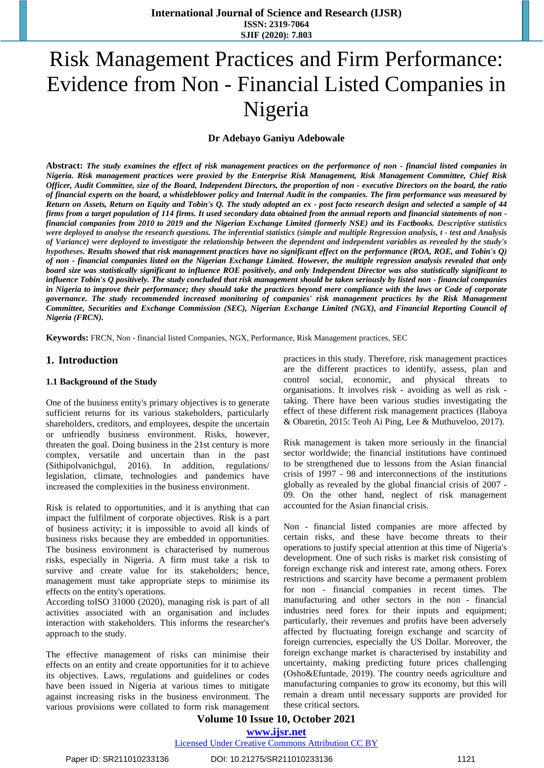# Risk Management Practices and Firm Performance: Evidence from Non - Financial Listed Companies in Nigeria

#### **Dr Adebayo Ganiyu Adebowale**

Abstract: The study examines the effect of risk management practices on the performance of non - financial listed companies in *Nigeria. Risk management practices were proxied by the Enterprise Risk Management, Risk Management Committee, Chief Risk* Officer, Audit Committee, size of the Board, Independent Directors, the proportion of non - executive Directors on the board, the ratio of financial experts on the board, a whistleblower policy and Internal Audit in the companies. The firm performance was measured by Return on Assets, Return on Equity and Tobin's Q. The study adopted an ex - post facto research design and selected a sample of 44 firms from a target population of 114 firms. It used secondary data obtained from the annual reports and financial statements of non financial companies from 2010 to 2019 and the Nigerian Exchange Limited (formerly NSE) and its Factbooks. Descriptive statistics were deployed to analyse the research questions. The inferential statistics (simple and multiple Regression analysis, t - test and Analysis of Variance) were deployed to investigate the relationship between the dependent and independent variables as revealed by the study's hypotheses. Results showed that risk management practices have no significant effect on the performance (ROA, ROE, and Tobin's O) of non - financial companies listed on the Nigerian Exchange Limited. However, the multiple regression analysis revealed that only board size was statistically significant to influence ROE positively, and only Independent Director was also statistically significant to influence Tobin's Q positively. The study concluded that risk management should be taken seriously by listed non - financial companies in Nigeria to improve their performance; they should take the practices beyond mere compliance with the laws or Code of corporate *governance. The study recommended increased monitoring of companies' risk management practices by the Risk Management Committee, Securities and Exchange Commission (SEC), Nigerian Exchange Limited (NGX), and Financial Reporting Council of Nigeria (FRCN).* 

**Keywords:** FRCN, Non - financial listed Companies, NGX, Performance, Risk Management practices, SEC

#### **1. Introduction**

#### **1.1 Background of the Study**

One of the business entity's primary objectives is to generate sufficient returns for its various stakeholders, particularly shareholders, creditors, and employees, despite the uncertain or unfriendly business environment. Risks, however, threaten the goal. Doing business in the 21st century is more complex, versatile and uncertain than in the past (Sithipolvanichgul, 2016). In addition, regulations/ legislation, climate, technologies and pandemics have increased the complexities in the business environment.

Risk is related to opportunities, and it is anything that can impact the fulfilment of corporate objectives. Risk is a part of business activity; it is impossible to avoid all kinds of business risks because they are embedded in opportunities. The business environment is characterised by numerous risks, especially in Nigeria. A firm must take a risk to survive and create value for its stakeholders; hence, management must take appropriate steps to minimise its effects on the entity's operations.

According toISO 31000 (2020), managing risk is part of all activities associated with an organisation and includes interaction with stakeholders. This informs the researcher's approach to the study.

The effective management of risks can minimise their effects on an entity and create opportunities for it to achieve its objectives. Laws, regulations and guidelines or codes have been issued in Nigeria at various times to mitigate against increasing risks in the business environment. The various provisions were collated to form risk management practices in this study. Therefore, risk management practices are the different practices to identify, assess, plan and control social, economic, and physical threats to organisations. It involves risk - avoiding as well as risk taking. There have been various studies investigating the effect of these different risk management practices (Ilaboya & Obaretin, 2015: Teoh Ai Ping, Lee & Muthuveloo, 2017).

Risk management is taken more seriously in the financial sector worldwide; the financial institutions have continued to be strengthened due to lessons from the Asian financial crisis of 1997 - 98 and interconnections of the institutions globally as revealed by the global financial crisis of 2007 - 09. On the other hand, neglect of risk management accounted for the Asian financial crisis.

Non - financial listed companies are more affected by certain risks, and these have become threats to their operations to justify special attention at this time of Nigeria's development. One of such risks is market risk consisting of foreign exchange risk and interest rate, among others. Forex restrictions and scarcity have become a permanent problem for non - financial companies in recent times. The manufacturing and other sectors in the non - financial industries need forex for their inputs and equipment; particularly, their revenues and profits have been adversely affected by fluctuating foreign exchange and scarcity of foreign currencies, especially the US Dollar. Moreover, the foreign exchange market is characterised by instability and uncertainty, making predicting future prices challenging (Osho&Efuntade, 2019). The country needs agriculture and manufacturing companies to grow its economy, but this will remain a dream until necessary supports are provided for these critical sectors.

# **Volume 10 Issue 10, October 2021**

**<www.ijsr.net>** [Licensed Under Creative Commons Attribution CC BY](http://creativecommons.org/licenses/by/4.0/)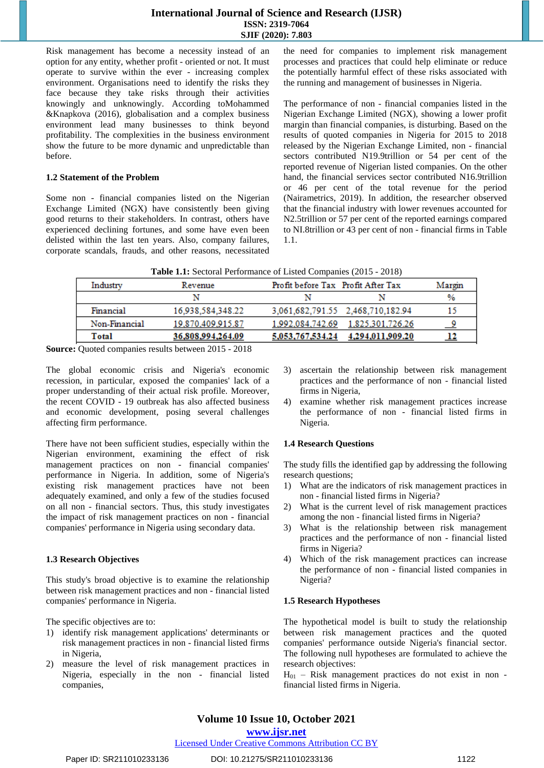Risk management has become a necessity instead of an option for any entity, whether profit - oriented or not. It must operate to survive within the ever - increasing complex environment. Organisations need to identify the risks they face because they take risks through their activities knowingly and unknowingly. According toMohammed &Knapkova (2016), globalisation and a complex business environment lead many businesses to think beyond profitability. The complexities in the business environment show the future to be more dynamic and unpredictable than before.

#### **1.2 Statement of the Problem**

Some non - financial companies listed on the Nigerian Exchange Limited (NGX) have consistently been giving good returns to their stakeholders. In contrast, others have experienced declining fortunes, and some have even been delisted within the last ten years. Also, company failures, corporate scandals, frauds, and other reasons, necessitated the need for companies to implement risk management processes and practices that could help eliminate or reduce the potentially harmful effect of these risks associated with the running and management of businesses in Nigeria.

The performance of non - financial companies listed in the Nigerian Exchange Limited (NGX), showing a lower profit margin than financial companies, is disturbing. Based on the results of quoted companies in Nigeria for 2015 to 2018 released by the Nigerian Exchange Limited, non - financial sectors contributed N19.9trillion or 54 per cent of the reported revenue of Nigerian listed companies. On the other hand, the financial services sector contributed N16.9trillion or 46 per cent of the total revenue for the period (Nairametrics, 2019). In addition, the researcher observed that the financial industry with lower revenues accounted for N2.5trillion or 57 per cent of the reported earnings compared to NI.8trillion or 43 per cent of non - financial firms in Table 1.1.

| Table 1.1: Sectoral Performance of Listed Companies (2015 - 2018) |  |  |  |  |  |
|-------------------------------------------------------------------|--|--|--|--|--|
|-------------------------------------------------------------------|--|--|--|--|--|

| Industry      | Revenue           | Profit before Tax Profit After Tax |                                   | Margin        |
|---------------|-------------------|------------------------------------|-----------------------------------|---------------|
|               |                   |                                    |                                   | $\frac{9}{6}$ |
| Financial     | 16.938.584.348.22 |                                    | 3,061,682,791.55 2,468,710,182.94 | 15            |
| Non-Financial | 19,870,409,915.87 | 1.992.084.742.69                   | 1.825.301.726.26                  |               |
| Total         | 36,808,994,264.09 | 5,053,767,534.24                   | 4,294,011,909.20                  | <u>12</u>     |

**Source:** Quoted companies results between 2015 - 2018

The global economic crisis and Nigeria's economic recession, in particular, exposed the companies' lack of a proper understanding of their actual risk profile. Moreover, the recent COVID - 19 outbreak has also affected business and economic development, posing several challenges affecting firm performance.

There have not been sufficient studies, especially within the Nigerian environment, examining the effect of risk management practices on non - financial companies' performance in Nigeria. In addition, some of Nigeria's existing risk management practices have not been adequately examined, and only a few of the studies focused on all non - financial sectors. Thus, this study investigates the impact of risk management practices on non - financial companies' performance in Nigeria using secondary data.

#### **1.3 Research Objectives**

This study's broad objective is to examine the relationship between risk management practices and non - financial listed companies' performance in Nigeria.

The specific objectives are to:

- 1) identify risk management applications' determinants or risk management practices in non - financial listed firms in Nigeria,
- 2) measure the level of risk management practices in Nigeria, especially in the non - financial listed companies,
- 3) ascertain the relationship between risk management practices and the performance of non - financial listed firms in Nigeria,
- 4) examine whether risk management practices increase the performance of non - financial listed firms in Nigeria.

#### **1.4 Research Questions**

The study fills the identified gap by addressing the following research questions;

- 1) What are the indicators of risk management practices in non - financial listed firms in Nigeria?
- 2) What is the current level of risk management practices among the non - financial listed firms in Nigeria?
- 3) What is the relationship between risk management practices and the performance of non - financial listed firms in Nigeria?
- 4) Which of the risk management practices can increase the performance of non - financial listed companies in Nigeria?

#### **1.5 Research Hypotheses**

The hypothetical model is built to study the relationship between risk management practices and the quoted companies' performance outside Nigeria's financial sector. The following null hypotheses are formulated to achieve the research objectives:

 $H_{01}$  – Risk management practices do not exist in non financial listed firms in Nigeria.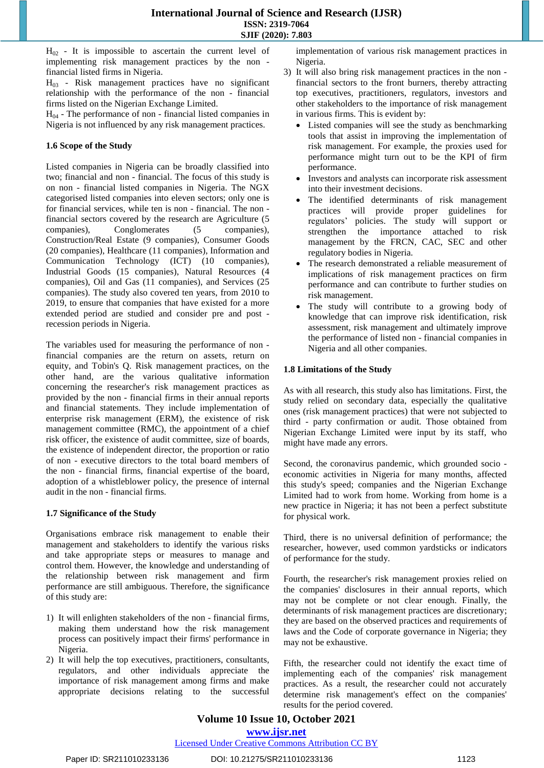$H_{02}$  - It is impossible to ascertain the current level of implementing risk management practices by the non financial listed firms in Nigeria.

 $H_{03}$  - Risk management practices have no significant relationship with the performance of the non - financial firms listed on the Nigerian Exchange Limited.

 $H<sub>04</sub>$  - The performance of non - financial listed companies in Nigeria is not influenced by any risk management practices.

#### **1.6 Scope of the Study**

Listed companies in Nigeria can be broadly classified into two; financial and non - financial. The focus of this study is on non - financial listed companies in Nigeria. The NGX categorised listed companies into eleven sectors; only one is for financial services, while ten is non - financial. The non financial sectors covered by the research are Agriculture (5 companies), Conglomerates (5 companies), Construction/Real Estate (9 companies), Consumer Goods (20 companies), Healthcare (11 companies), Information and Communication Technology (ICT) (10 companies), Industrial Goods (15 companies), Natural Resources (4 companies), Oil and Gas (11 companies), and Services (25 companies). The study also covered ten years, from 2010 to 2019, to ensure that companies that have existed for a more extended period are studied and consider pre and post recession periods in Nigeria.

The variables used for measuring the performance of non financial companies are the return on assets, return on equity, and Tobin's Q. Risk management practices, on the other hand, are the various qualitative information concerning the researcher's risk management practices as provided by the non - financial firms in their annual reports and financial statements. They include implementation of enterprise risk management (ERM), the existence of risk management committee (RMC), the appointment of a chief risk officer, the existence of audit committee, size of boards, the existence of independent director, the proportion or ratio of non - executive directors to the total board members of the non - financial firms, financial expertise of the board, adoption of a whistleblower policy, the presence of internal audit in the non - financial firms.

# **1.7 Significance of the Study**

Organisations embrace risk management to enable their management and stakeholders to identify the various risks and take appropriate steps or measures to manage and control them. However, the knowledge and understanding of the relationship between risk management and firm performance are still ambiguous. Therefore, the significance of this study are:

- 1) It will enlighten stakeholders of the non financial firms, making them understand how the risk management process can positively impact their firms' performance in Nigeria.
- 2) It will help the top executives, practitioners, consultants, regulators, and other individuals appreciate the importance of risk management among firms and make appropriate decisions relating to the successful

implementation of various risk management practices in Nigeria.

- 3) It will also bring risk management practices in the non financial sectors to the front burners, thereby attracting top executives, practitioners, regulators, investors and other stakeholders to the importance of risk management in various firms. This is evident by:
	- Listed companies will see the study as benchmarking tools that assist in improving the implementation of risk management. For example, the proxies used for performance might turn out to be the KPI of firm performance.
	- Investors and analysts can incorporate risk assessment into their investment decisions.
	- The identified determinants of risk management practices will provide proper guidelines for regulators' policies. The study will support or strengthen the importance attached to risk management by the FRCN, CAC, SEC and other regulatory bodies in Nigeria.
	- The research demonstrated a reliable measurement of implications of risk management practices on firm performance and can contribute to further studies on risk management.
	- The study will contribute to a growing body of knowledge that can improve risk identification, risk assessment, risk management and ultimately improve the performance of listed non - financial companies in Nigeria and all other companies.

# **1.8 Limitations of the Study**

As with all research, this study also has limitations. First, the study relied on secondary data, especially the qualitative ones (risk management practices) that were not subjected to third - party confirmation or audit. Those obtained from Nigerian Exchange Limited were input by its staff, who might have made any errors.

Second, the coronavirus pandemic, which grounded socio economic activities in Nigeria for many months, affected this study's speed; companies and the Nigerian Exchange Limited had to work from home. Working from home is a new practice in Nigeria; it has not been a perfect substitute for physical work.

Third, there is no universal definition of performance; the researcher, however, used common yardsticks or indicators of performance for the study.

Fourth, the researcher's risk management proxies relied on the companies' disclosures in their annual reports, which may not be complete or not clear enough. Finally, the determinants of risk management practices are discretionary; they are based on the observed practices and requirements of laws and the Code of corporate governance in Nigeria; they may not be exhaustive.

Fifth, the researcher could not identify the exact time of implementing each of the companies' risk management practices. As a result, the researcher could not accurately determine risk management's effect on the companies' results for the period covered.

**Volume 10 Issue 10, October 2021 <www.ijsr.net>**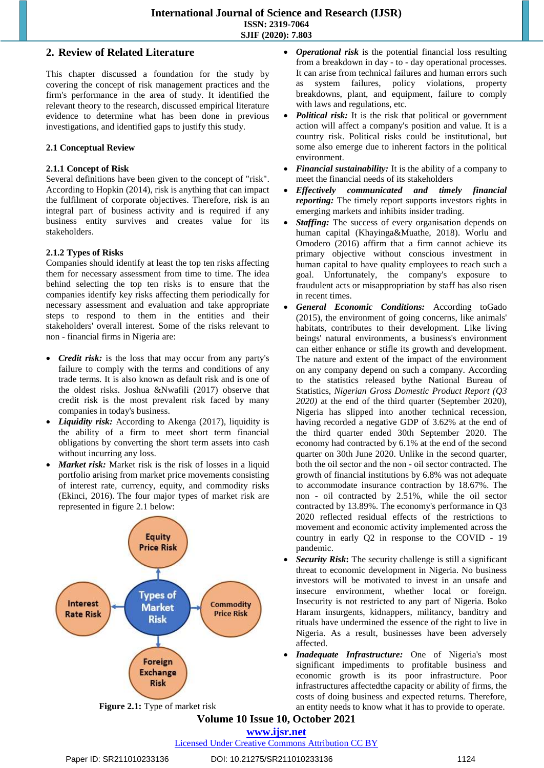# **2. Review of Related Literature**

This chapter discussed a foundation for the study by covering the concept of risk management practices and the firm's performance in the area of study. It identified the relevant theory to the research, discussed empirical literature evidence to determine what has been done in previous investigations, and identified gaps to justify this study.

#### **2.1 Conceptual Review**

#### **2.1.1 Concept of Risk**

Several definitions have been given to the concept of "risk". According to Hopkin (2014), risk is anything that can impact the fulfilment of corporate objectives. Therefore, risk is an integral part of business activity and is required if any business entity survives and creates value for its stakeholders.

#### **2.1.2 Types of Risks**

Companies should identify at least the top ten risks affecting them for necessary assessment from time to time. The idea behind selecting the top ten risks is to ensure that the companies identify key risks affecting them periodically for necessary assessment and evaluation and take appropriate steps to respond to them in the entities and their stakeholders' overall interest. Some of the risks relevant to non - financial firms in Nigeria are:

- *Credit risk:* is the loss that may occur from any party's failure to comply with the terms and conditions of any trade terms. It is also known as default risk and is one of the oldest risks. Joshua &Nwafili (2017) observe that credit risk is the most prevalent risk faced by many companies in today's business.
- *Liquidity risk:* According to Akenga (2017), liquidity is the ability of a firm to meet short term financial obligations by converting the short term assets into cash without incurring any loss.
- *Market risk:* Market risk is the risk of losses in a liquid portfolio arising from market price movements consisting of interest rate, currency, equity, and commodity risks (Ekinci, 2016). The four major types of market risk are represented in figure 2.1 below:



- *Operational risk* is the potential financial loss resulting from a breakdown in day - to - day operational processes. It can arise from technical failures and human errors such as system failures, policy violations, property breakdowns, plant, and equipment, failure to comply with laws and regulations, etc.
- *Political risk:* It is the risk that political or government action will affect a company's position and value. It is a country risk. Political risks could be institutional, but some also emerge due to inherent factors in the political environment.
- *Financial sustainability:* It is the ability of a company to meet the financial needs of its stakeholders
- *Effectively communicated and timely financial reporting:* The timely report supports investors rights in emerging markets and inhibits insider trading.
- *Staffing:* The success of every organisation depends on human capital (Khayinga&Muathe, 2018). Worlu and Omodero (2016) affirm that a firm cannot achieve its primary objective without conscious investment in human capital to have quality employees to reach such a goal. Unfortunately, the company's exposure to fraudulent acts or misappropriation by staff has also risen in recent times.
- *General Economic Conditions:* According toGado (2015), the environment of going concerns, like animals' habitats, contributes to their development. Like living beings' natural environments, a business's environment can either enhance or stifle its growth and development. The nature and extent of the impact of the environment on any company depend on such a company. According to the statistics released bythe National Bureau of Statistics, *Nigerian Gross Domestic Product Report (Q3 2020)* at the end of the third quarter (September 2020), Nigeria has slipped into another technical recession, having recorded a negative GDP of 3.62% at the end of the third quarter ended 30th September 2020. The economy had contracted by 6.1% at the end of the second quarter on 30th June 2020. Unlike in the second quarter, both the oil sector and the non - oil sector contracted. The growth of financial institutions by 6.8% was not adequate to accommodate insurance contraction by 18.67%. The non - oil contracted by 2.51%, while the oil sector contracted by 13.89%. The economy's performance in Q3 2020 reflected residual effects of the restrictions to movement and economic activity implemented across the country in early Q2 in response to the COVID - 19 pandemic.
- *Security Risk***:** The security challenge is still a significant threat to economic development in Nigeria. No business investors will be motivated to invest in an unsafe and insecure environment, whether local or foreign. Insecurity is not restricted to any part of Nigeria. Boko Haram insurgents, kidnappers, militancy, banditry and rituals have undermined the essence of the right to live in Nigeria. As a result, businesses have been adversely affected.
- *Inadequate Infrastructure:* One of Nigeria's most significant impediments to profitable business and economic growth is its poor infrastructure. Poor infrastructures affectedthe capacity or ability of firms, the costs of doing business and expected returns. Therefore, an entity needs to know what it has to provide to operate.

# **Volume 10 Issue 10, October 2021**

**<www.ijsr.net>**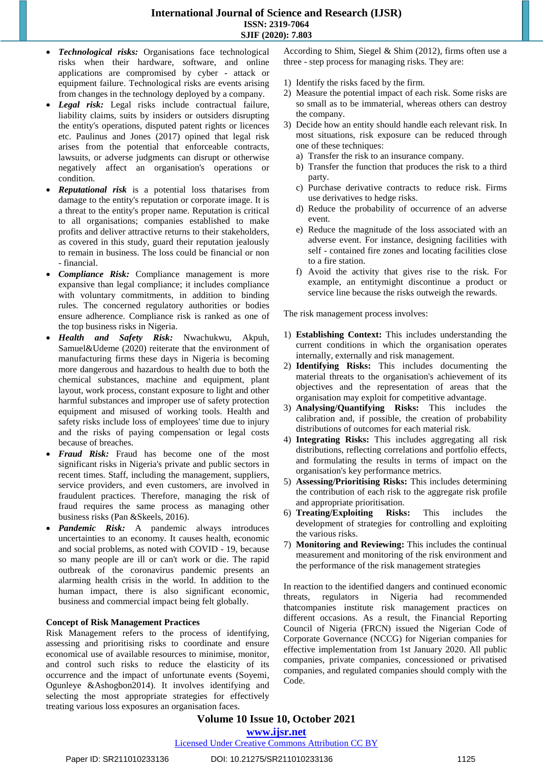- *Technological risks:* Organisations face technological risks when their hardware, software, and online applications are compromised by cyber - attack or equipment failure. Technological risks are events arising from changes in the technology deployed by a company.
- *Legal risk:* Legal risks include contractual failure, liability claims, suits by insiders or outsiders disrupting the entity's operations, disputed patent rights or licences etc. Paulinus and Jones (2017) opined that legal risk arises from the potential that enforceable contracts, lawsuits, or adverse judgments can disrupt or otherwise negatively affect an organisation's operations or condition.
- *Reputational risk* is a potential loss thatarises from damage to the entity's reputation or corporate image. It is a threat to the entity's proper name. Reputation is critical to all organisations; companies established to make profits and deliver attractive returns to their stakeholders, as covered in this study, guard their reputation jealously to remain in business. The loss could be financial or non - financial.
- *Compliance Risk:* Compliance management is more expansive than legal compliance; it includes compliance with voluntary commitments, in addition to binding rules. The concerned regulatory authorities or bodies ensure adherence. Compliance risk is ranked as one of the top business risks in Nigeria.
- *Health and Safety Risk:* Nwachukwu, Akpuh, Samuel&Udeme (2020) reiterate that the environment of manufacturing firms these days in Nigeria is becoming more dangerous and hazardous to health due to both the chemical substances, machine and equipment, plant layout, work process, constant exposure to light and other harmful substances and improper use of safety protection equipment and misused of working tools. Health and safety risks include loss of employees' time due to injury and the risks of paying compensation or legal costs because of breaches.
- *Fraud Risk:* Fraud has become one of the most significant risks in Nigeria's private and public sectors in recent times. Staff, including the management, suppliers, service providers, and even customers, are involved in fraudulent practices. Therefore, managing the risk of fraud requires the same process as managing other business risks (Pan &Skeels, 2016).
- *Pandemic Risk:* A pandemic always introduces uncertainties to an economy. It causes health, economic and social problems, as noted with COVID - 19, because so many people are ill or can't work or die. The rapid outbreak of the coronavirus pandemic presents an alarming health crisis in the world. In addition to the human impact, there is also significant economic, business and commercial impact being felt globally.

#### **Concept of Risk Management Practices**

Risk Management refers to the process of identifying, assessing and prioritising risks to coordinate and ensure economical use of available resources to minimise, monitor, and control such risks to reduce the elasticity of its occurrence and the impact of unfortunate events (Soyemi, Ogunleye &Ashogbon2014). It involves identifying and selecting the most appropriate strategies for effectively treating various loss exposures an organisation faces.

According to Shim, Siegel & Shim (2012), firms often use a three - step process for managing risks. They are:

- 1) Identify the risks faced by the firm.
- 2) Measure the potential impact of each risk. Some risks are so small as to be immaterial, whereas others can destroy the company.
- 3) Decide how an entity should handle each relevant risk. In most situations, risk exposure can be reduced through one of these techniques:
	- a) Transfer the risk to an insurance company.
	- b) Transfer the function that produces the risk to a third party.
	- c) Purchase derivative contracts to reduce risk. Firms use derivatives to hedge risks.
	- d) Reduce the probability of occurrence of an adverse event.
	- e) Reduce the magnitude of the loss associated with an adverse event. For instance, designing facilities with self - contained fire zones and locating facilities close to a fire station.
	- f) Avoid the activity that gives rise to the risk. For example, an entitymight discontinue a product or service line because the risks outweigh the rewards.

The risk management process involves:

- 1) **Establishing Context:** This includes understanding the current conditions in which the organisation operates internally, externally and risk management.
- 2) **Identifying Risks:** This includes documenting the material threats to the organisation's achievement of its objectives and the representation of areas that the organisation may exploit for competitive advantage.
- 3) **Analysing/Quantifying Risks:** This includes the calibration and, if possible, the creation of probability distributions of outcomes for each material risk.
- 4) **Integrating Risks:** This includes aggregating all risk distributions, reflecting correlations and portfolio effects, and formulating the results in terms of impact on the organisation's key performance metrics.
- 5) **Assessing/Prioritising Risks:** This includes determining the contribution of each risk to the aggregate risk profile and appropriate prioritisation.
- 6) **Treating/Exploiting Risks:** This includes the development of strategies for controlling and exploiting the various risks.
- 7) **Monitoring and Reviewing:** This includes the continual measurement and monitoring of the risk environment and the performance of the risk management strategies

In reaction to the identified dangers and continued economic threats, regulators in Nigeria had recommended thatcompanies institute risk management practices on different occasions. As a result, the Financial Reporting Council of Nigeria (FRCN) issued the Nigerian Code of Corporate Governance (NCCG) for Nigerian companies for effective implementation from 1st January 2020. All public companies, private companies, concessioned or privatised companies, and regulated companies should comply with the Code.

# **Volume 10 Issue 10, October 2021 <www.ijsr.net>**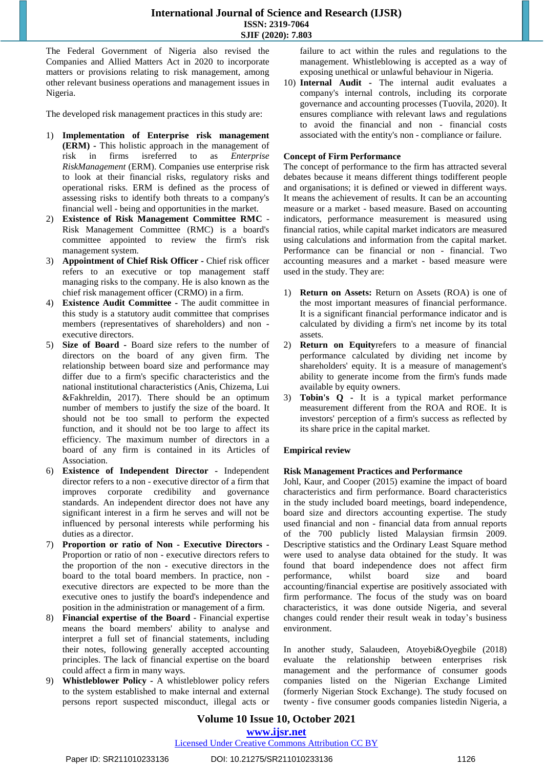The Federal Government of Nigeria also revised the Companies and Allied Matters Act in 2020 to incorporate matters or provisions relating to risk management, among other relevant business operations and management issues in Nigeria.

The developed risk management practices in this study are:

- 1) **Implementation of Enterprise risk management (ERM) -** This holistic approach in the management of risk in firms isreferred to as *Enterprise RiskManagement* (ERM). Companies use enterprise risk to look at their financial risks, regulatory risks and operational risks. ERM is defined as the process of assessing risks to identify both threats to a company's financial well - being and opportunities in the market.
- 2) **Existence of Risk Management Committee RMC** Risk Management Committee (RMC) is a board's committee appointed to review the firm's risk management system.
- 3) **Appointment of Chief Risk Officer -** Chief risk officer refers to an executive or top management staff managing risks to the company. He is also known as the chief risk management officer (CRMO) in a firm.
- 4) **Existence Audit Committee -** The audit committee in this study is a statutory audit committee that comprises members (representatives of shareholders) and non executive directors.
- 5) **Size of Board -** Board size refers to the number of directors on the board of any given firm. The relationship between board size and performance may differ due to a firm's specific characteristics and the national institutional characteristics (Anis, Chizema, Lui &Fakhreldin, 2017). There should be an optimum number of members to justify the size of the board. It should not be too small to perform the expected function, and it should not be too large to affect its efficiency. The maximum number of directors in a board of any firm is contained in its Articles of Association.
- 6) **Existence of Independent Director -** Independent director refers to a non - executive director of a firm that improves corporate credibility and governance standards. An independent director does not have any significant interest in a firm he serves and will not be influenced by personal interests while performing his duties as a director.
- 7) **Proportion or ratio of Non - Executive Directors -** Proportion or ratio of non - executive directors refers to the proportion of the non - executive directors in the board to the total board members. In practice, non executive directors are expected to be more than the executive ones to justify the board's independence and position in the administration or management of a firm.
- 8) **Financial expertise of the Board** Financial expertise means the board [members'](https://www.lawinsider.com/dictionary/accounting-or-related-financial-expertise) ability to analyse and interpret a full set of financial statements, including their notes, following generally accepted accounting principles. The lack of financial expertise on the board could affect a firm in many ways.
- 9) **Whistleblower Policy -** A whistleblower policy refers to the system established to make internal and external persons report suspected misconduct, illegal acts or

failure to act within the rules and regulations to the management. Whistleblowing is accepted as a way of exposing unethical or unlawful behaviour in Nigeria.

10) **Internal Audit -** The internal audit evaluates a company's internal [controls,](https://www.investopedia.com/terms/i/internalcontrols.asp) including its [corporate](https://www.investopedia.com/terms/c/corporategovernance.asp) [governance](https://www.investopedia.com/terms/c/corporategovernance.asp) and accounting processes [\(Tuovila,](https://www.investopedia.com/alicia-tuovila-4687215) 2020). It ensures compliance with relevant laws and regulations to avoid the financial and non - financial costs associated with the entity's non - compliance or failure.

#### **Concept of Firm Performance**

The concept of performance to the firm has attracted several debates because it means different things todifferent people and organisations; it is defined or viewed in different ways. It means the achievement of results. It can be an accounting measure or a market - based measure. Based on accounting indicators, performance measurement is measured using financial ratios, while capital market indicators are measured using calculations and information from the capital market. Performance can be financial or non - financial. Two accounting measures and a market - based measure were used in the study. They are:

- 1) **Return on Assets:** Return on Assets (ROA) is one of the most important measures of financial performance. It is a significant financial performance indicator and is [calculated](https://www.investopedia.com/ask/answers/031215/what-formula-calculating-return-assets-roa.asp) by dividing a firm's net [income](https://www.investopedia.com/terms/n/netincome.asp) by its total assets.
- 2) **Return on Equity**refers to a measure of financial performance calculated by dividing net [income](https://www.investopedia.com/terms/n/netincome.asp) by [shareholders'](https://www.investopedia.com/terms/s/shareholdersequity.asp) equity. It is a measure of management's ability to generate income from the firm's funds made available by equity owners.
- 3) **Tobin's Q -** It is a typical market performance measurement different from the ROA and ROE. It is investors' perception of a firm's success as reflected by its share price in the capital market.

# **Empirical review**

#### **Risk Management Practices and Performance**

Johl, Kaur, and Cooper (2015) examine the impact of board characteristics and firm performance. Board characteristics in the study included board meetings, board independence, board size and directors accounting expertise. The study used financial and non - financial data from annual reports of the 700 publicly listed Malaysian firmsin 2009. Descriptive statistics and the Ordinary Least Square method were used to analyse data obtained for the study. It was found that board independence does not affect firm performance, whilst board size and board accounting/financial expertise are positively associated with firm performance. The focus of the study was on board characteristics, it was done outside Nigeria, and several changes could render their result weak in today's business environment.

In another study, Salaudeen, Atoyebi&Oyegbile (2018) evaluate the relationship between enterprises risk management and the performance of consumer goods companies listed on the Nigerian Exchange Limited (formerly Nigerian Stock Exchange). The study focused on twenty - five consumer goods companies listedin Nigeria, a

# **Volume 10 Issue 10, October 2021 <www.ijsr.net>**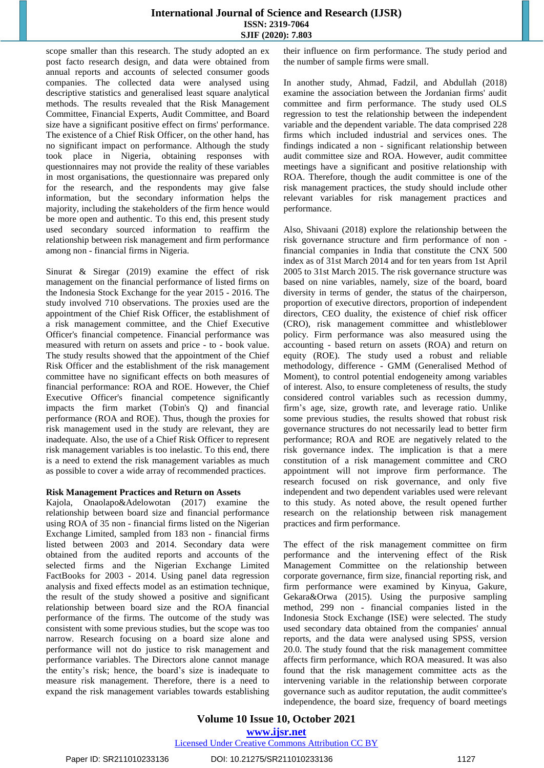scope smaller than this research. The study adopted an ex post facto research design, and data were obtained from annual reports and accounts of selected consumer goods companies. The collected data were analysed using descriptive statistics and generalised least square analytical methods. The results revealed that the Risk Management Committee, Financial Experts, Audit Committee, and Board size have a significant positive effect on firms' performance. The existence of a Chief Risk Officer, on the other hand, has no significant impact on performance. Although the study took place in Nigeria, obtaining responses with questionnaires may not provide the reality of these variables in most organisations, the questionnaire was prepared only for the research, and the respondents may give false information, but the secondary information helps the majority, including the stakeholders of the firm hence would be more open and authentic. To this end, this present study used secondary sourced information to reaffirm the relationship between risk management and firm performance among non - financial firms in Nigeria.

Sinurat & Siregar (2019) examine the effect of risk management on the financial performance of listed firms on the Indonesia Stock Exchange for the year 2015 - 2016. The study involved 710 observations. The proxies used are the appointment of the Chief Risk Officer, the establishment of a risk management committee, and the Chief Executive Officer's financial competence. Financial performance was measured with return on assets and price - to - book value. The study results showed that the appointment of the Chief Risk Officer and the establishment of the risk management committee have no significant effects on both measures of financial performance: ROA and ROE. However, the Chief Executive Officer's financial competence significantly impacts the firm market (Tobin's Q) and financial performance (ROA and ROE). Thus, though the proxies for risk management used in the study are relevant, they are inadequate. Also, the use of a Chief Risk Officer to represent risk management variables is too inelastic. To this end, there is a need to extend the risk management variables as much as possible to cover a wide array of recommended practices.

#### **Risk Management Practices and Return on Assets**

Kajola, Onaolapo&Adelowotan (2017) examine the relationship between board size and financial performance using ROA of 35 non - financial firms listed on the Nigerian Exchange Limited, sampled from 183 non - financial firms listed between 2003 and 2014. Secondary data were obtained from the audited reports and accounts of the selected firms and the Nigerian Exchange Limited FactBooks for 2003 - 2014. Using panel data regression analysis and fixed effects model as an estimation technique, the result of the study showed a positive and significant relationship between board size and the ROA financial performance of the firms. The outcome of the study was consistent with some previous studies, but the scope was too narrow. Research focusing on a board size alone and performance will not do justice to risk management and performance variables. The Directors alone cannot manage the entity's risk; hence, the board's size is inadequate to measure risk management. Therefore, there is a need to expand the risk management variables towards establishing their influence on firm performance. The study period and the number of sample firms were small.

In another study, Ahmad, Fadzil, and Abdullah (2018) examine the association between the Jordanian firms' audit committee and firm performance. The study used OLS regression to test the relationship between the independent variable and the dependent variable. The data comprised 228 firms which included industrial and services ones. The findings indicated a non - significant relationship between audit committee size and ROA. However, audit committee meetings have a significant and positive relationship with ROA. Therefore, though the audit committee is one of the risk management practices, the study should include other relevant variables for risk management practices and performance.

Also, Shivaani (2018) explore the relationship between the risk governance structure and firm performance of non financial companies in India that constitute the CNX 500 index as of 31st March 2014 and for ten years from 1st April 2005 to 31st March 2015. The risk governance structure was based on nine variables, namely, size of the board, board diversity in terms of gender, the status of the chairperson, proportion of executive directors, proportion of independent directors, CEO duality, the existence of chief risk officer (CRO), risk management committee and whistleblower policy. Firm performance was also measured using the accounting - based return on assets (ROA) and return on equity (ROE). The study used a robust and reliable methodology, difference - GMM (Generalised Method of Moment), to control potential endogeneity among variables of interest. Also, to ensure completeness of results, the study considered control variables such as recession dummy, firm's age, size, growth rate, and leverage ratio. Unlike some previous studies, the results showed that robust risk governance structures do not necessarily lead to better firm performance; ROA and ROE are negatively related to the risk governance index. The implication is that a mere constitution of a risk management committee and CRO appointment will not improve firm performance. The research focused on risk governance, and only five independent and two dependent variables used were relevant to this study. As noted above, the result opened further research on the relationship between risk management practices and firm performance.

The effect of the risk management committee on firm performance and the intervening effect of the Risk Management Committee on the relationship between corporate governance, firm size, financial reporting risk, and firm performance were examined by Kinyua, Gakure, Gekara&Orwa (2015). Using the purposive sampling method, 299 non - financial companies listed in the Indonesia Stock Exchange (ISE) were selected. The study used secondary data obtained from the companies' annual reports, and the data were analysed using SPSS, version 20.0. The study found that the risk management committee affects firm performance, which ROA measured. It was also found that the risk management committee acts as the intervening variable in the relationship between corporate governance such as auditor reputation, the audit committee's independence, the board size, frequency of board meetings

**Volume 10 Issue 10, October 2021 <www.ijsr.net>** [Licensed Under Creative Commons Attribution CC BY](http://creativecommons.org/licenses/by/4.0/)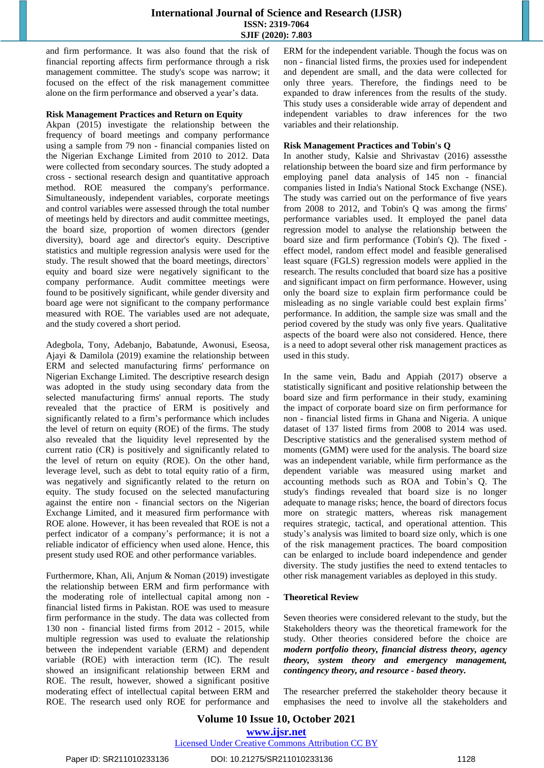and firm performance. It was also found that the risk of financial reporting affects firm performance through a risk management committee. The study's scope was narrow; it focused on the effect of the risk management committee alone on the firm performance and observed a year's data.

#### **Risk Management Practices and Return on Equity**

Akpan (2015) investigate the relationship between the frequency of board meetings and company performance using a sample from 79 non - financial companies listed on the Nigerian Exchange Limited from 2010 to 2012. Data were collected from secondary sources. The study adopted a cross - sectional research design and quantitative approach method. ROE measured the company's performance. Simultaneously, independent variables, corporate meetings and control variables were assessed through the total number of meetings held by directors and audit committee meetings, the board size, proportion of women directors (gender diversity), board age and director's equity. Descriptive statistics and multiple regression analysis were used for the study. The result showed that the board meetings, directors` equity and board size were negatively significant to the company performance. Audit committee meetings were found to be positively significant, while gender diversity and board age were not significant to the company performance measured with ROE. The variables used are not adequate, and the study covered a short period.

Adegbola, Tony, Adebanjo, Babatunde, Awonusi, Eseosa, Ajayi & Damilola (2019) examine the relationship between ERM and selected manufacturing firms' performance on Nigerian Exchange Limited. The descriptive research design was adopted in the study using secondary data from the selected manufacturing firms' annual reports. The study revealed that the practice of ERM is positively and significantly related to a firm's performance which includes the level of return on equity (ROE) of the firms. The study also revealed that the liquidity level represented by the current ratio (CR) is positively and significantly related to the level of return on equity (ROE). On the other hand, leverage level, such as debt to total equity ratio of a firm, was negatively and significantly related to the return on equity. The study focused on the selected manufacturing against the entire non - financial sectors on the Nigerian Exchange Limited, and it measured firm performance with ROE alone. However, it has been revealed that ROE is not a perfect indicator of a company's performance; it is not a reliable indicator of efficiency when used alone. Hence, this present study used ROE and other performance variables.

Furthermore, Khan, Ali, Anjum & Noman (2019) investigate the relationship between ERM and firm performance with the moderating role of intellectual capital among non financial listed firms in Pakistan. ROE was used to measure firm performance in the study. The data was collected from 130 non - financial listed firms from 2012 - 2015, while multiple regression was used to evaluate the relationship between the independent variable (ERM) and dependent variable (ROE) with interaction term (IC). The result showed an insignificant relationship between ERM and ROE. The result, however, showed a significant positive moderating effect of intellectual capital between ERM and ROE. The research used only ROE for performance and ERM for the independent variable. Though the focus was on non - financial listed firms, the proxies used for independent and dependent are small, and the data were collected for only three years. Therefore, the findings need to be expanded to draw inferences from the results of the study. This study uses a considerable wide array of dependent and independent variables to draw inferences for the two variables and their relationship.

#### **Risk Management Practices and Tobin's Q**

In another study, Kalsie and Shrivastav (2016) assessthe relationship between the board size and firm performance by employing panel data analysis of 145 non - financial companies listed in India's National Stock Exchange (NSE). The study was carried out on the performance of five years from 2008 to 2012, and Tobin's Q was among the firms' performance variables used. It employed the panel data regression model to analyse the relationship between the board size and firm performance (Tobin's Q). The fixed effect model, random effect model and feasible generalised least square (FGLS) regression models were applied in the research. The results concluded that board size has a positive and significant impact on firm performance. However, using only the board size to explain firm performance could be misleading as no single variable could best explain firms' performance. In addition, the sample size was small and the period covered by the study was only five years. Qualitative aspects of the board were also not considered. Hence, there is a need to adopt several other risk management practices as used in this study.

In the same vein, Badu and Appiah (2017) observe a statistically significant and positive relationship between the board size and firm performance in their study, examining the impact of corporate board size on firm performance for non - financial listed firms in Ghana and Nigeria. A unique dataset of 137 listed firms from 2008 to 2014 was used. Descriptive statistics and the generalised system method of moments (GMM) were used for the analysis. The board size was an independent variable, while firm performance as the dependent variable was measured using market and accounting methods such as ROA and Tobin's Q. The study's findings revealed that board size is no longer adequate to manage risks; hence, the board of directors focus more on strategic matters, whereas risk management requires strategic, tactical, and operational attention. This study's analysis was limited to board size only, which is one of the risk management practices. The board composition can be enlarged to include board independence and gender diversity. The study justifies the need to extend tentacles to other risk management variables as deployed in this study.

#### **Theoretical Review**

Seven theories were considered relevant to the study, but the Stakeholders theory was the theoretical framework for the study. Other theories considered before the choice are *modern portfolio theory, financial distress theory, agency theory, system theory and emergency management, contingency theory, and resource - based theory.* 

The researcher preferred the stakeholder theory because it emphasises the need to involve all the stakeholders and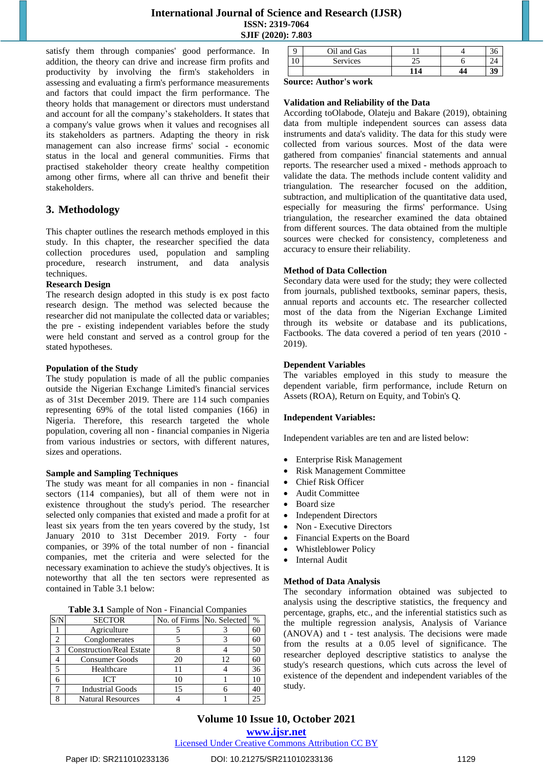satisfy them through companies' good performance. In addition, the theory can drive and increase firm profits and productivity by involving the firm's stakeholders in assessing and evaluating a firm's performance measurements and factors that could impact the firm performance. The theory holds that management or directors must understand and account for all the company's stakeholders. It states that a company's value grows when it values and recognises all its stakeholders as partners. Adapting the theory in risk management can also increase firms' social - economic status in the local and general communities. Firms that practised stakeholder theory create healthy competition among other firms, where all can thrive and benefit their stakeholders.

# **3. Methodology**

This chapter outlines the research methods employed in this study. In this chapter, the researcher specified the data collection procedures used, population and sampling procedure, research instrument, and data analysis techniques.

#### **Research Design**

The research design adopted in this study is ex post facto research design. The method was selected because the researcher did not manipulate the collected data or variables; the pre - existing independent variables before the study were held constant and served as a control group for the stated hypotheses.

#### **Population of the Study**

The study population is made of all the public companies outside the Nigerian Exchange Limited's financial services as of 31st December 2019. There are 114 such companies representing 69% of the total listed companies (166) in Nigeria. Therefore, this research targeted the whole population, covering all non - financial companies in Nigeria from various industries or sectors, with different natures, sizes and operations.

#### **Sample and Sampling Techniques**

The study was meant for all companies in non - financial sectors (114 companies), but all of them were not in existence throughout the study's period. The researcher selected only companies that existed and made a profit for at least six years from the ten years covered by the study, 1st January 2010 to 31st December 2019. Forty - four companies, or 39% of the total number of non - financial companies, met the criteria and were selected for the necessary examination to achieve the study's objectives. It is noteworthy that all the ten sectors were represented as contained in Table 3.1 below:

|  |  | Table 3.1 Sample of Non - Financial Companies |
|--|--|-----------------------------------------------|
|  |  |                                               |

| S/N | <b>SECTOR</b>                   | No. of Firms No. Selected |    | $\%$ |
|-----|---------------------------------|---------------------------|----|------|
|     | Agriculture                     |                           |    | 60   |
| 2   | Conglomerates                   |                           |    | 60   |
| 3   | <b>Construction/Real Estate</b> |                           |    | 50   |
|     | <b>Consumer Goods</b>           | 20                        | 12 | 60   |
| 5   | Healthcare                      |                           |    | 36   |
| б   | <b>ICT</b>                      | 10                        |    | 10   |
|     | <b>Industrial Goods</b>         | 15                        |    | 40   |
| Ջ   | <b>Natural Resources</b>        |                           |    | 25   |

|     | Oil and Gas |    |  |
|-----|-------------|----|--|
| 1 v | Services    | ∼  |  |
|     |             | 14 |  |

#### **Source: Author's work**

#### **Validation and Reliability of the Data**

According toOlabode, Olateju and Bakare (2019), obtaining data from multiple independent sources can assess data instruments and data's validity. The data for this study were collected from various sources. Most of the data were gathered from companies' financial statements and annual reports. The researcher used a mixed - methods approach to validate the data. The methods include content validity and triangulation. The researcher focused on the addition, subtraction, and multiplication of the quantitative data used, especially for measuring the firms' performance. Using triangulation, the researcher examined the data obtained from different sources. The data obtained from the multiple sources were checked for consistency, completeness and accuracy to ensure their reliability.

#### **Method of Data Collection**

Secondary data were used for the study; they were collected from journals, published textbooks, seminar papers, thesis, annual reports and accounts etc. The researcher collected most of the data from the Nigerian Exchange Limited through its website or database and its publications, Factbooks. The data covered a period of ten years (2010 - 2019).

#### **Dependent Variables**

The variables employed in this study to measure the dependent variable, firm performance, include Return on Assets (ROA), Return on Equity, and Tobin's Q.

#### **Independent Variables:**

Independent variables are ten and are listed below:

- Enterprise Risk Management
- Risk Management Committee
- Chief Risk Officer
- Audit Committee
- Board size
- Independent Directors
- Non Executive Directors
- Financial Experts on the Board
- Whistleblower Policy
- Internal Audit

#### **Method of Data Analysis**

The secondary information obtained was subjected to analysis using the descriptive statistics, the frequency and percentage, graphs, etc., and the inferential statistics such as the multiple regression analysis, Analysis of Variance (ANOVA) and t - test analysis. The decisions were made from the results at a 0.05 level of significance. The researcher deployed descriptive statistics to analyse the study's research questions, which cuts across the level of existence of the dependent and independent variables of the study.

**<www.ijsr.net>**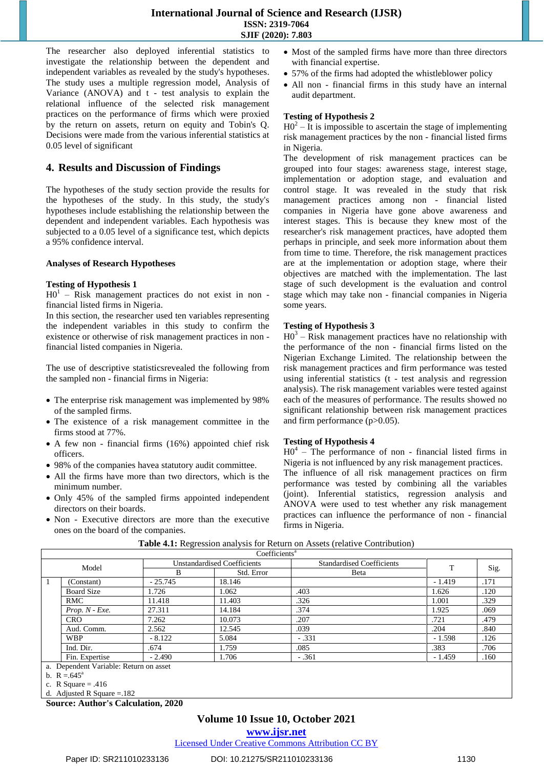The researcher also deployed inferential statistics to investigate the relationship between the dependent and independent variables as revealed by the study's hypotheses. The study uses a multiple regression model, Analysis of Variance (ANOVA) and t - test analysis to explain the relational influence of the selected risk management practices on the performance of firms which were proxied by the return on assets, return on equity and Tobin's Q. Decisions were made from the various inferential statistics at 0.05 level of significant

# **4. Results and Discussion of Findings**

The hypotheses of the study section provide the results for the hypotheses of the study. In this study, the study's hypotheses include establishing the relationship between the dependent and independent variables. Each hypothesis was subjected to a 0.05 level of a significance test, which depicts a 95% confidence interval.

#### **Analyses of Research Hypotheses**

#### **Testing of Hypothesis 1**

 $H0<sup>1</sup>$  – Risk management practices do not exist in non financial listed firms in Nigeria.

In this section, the researcher used ten variables representing the independent variables in this study to confirm the existence or otherwise of risk management practices in non financial listed companies in Nigeria.

The use of descriptive statisticsrevealed the following from the sampled non - financial firms in Nigeria:

- The enterprise risk management was implemented by 98% of the sampled firms.
- The existence of a risk management committee in the firms stood at 77%.
- A few non financial firms (16%) appointed chief risk officers.
- 98% of the companies havea statutory audit committee.
- All the firms have more than two directors, which is the minimum number.
- Only 45% of the sampled firms appointed independent directors on their boards.
- Non Executive directors are more than the executive ones on the board of the companies.
- Most of the sampled firms have more than three directors with financial expertise.
- 57% of the firms had adopted the whistleblower policy
- All non financial firms in this study have an internal audit department.

#### **Testing of Hypothesis 2**

 $H0^2 - It$  is impossible to ascertain the stage of implementing risk management practices by the non - financial listed firms in Nigeria.

The development of risk management practices can be grouped into four stages: awareness stage, interest stage, implementation or adoption stage, and evaluation and control stage. It was revealed in the study that risk management practices among non - financial listed companies in Nigeria have gone above awareness and interest stages. This is because they knew most of the researcher's risk management practices, have adopted them perhaps in principle, and seek more information about them from time to time. Therefore, the risk management practices are at the implementation or adoption stage, where their objectives are matched with the implementation. The last stage of such development is the evaluation and control stage which may take non - financial companies in Nigeria some years.

#### **Testing of Hypothesis 3**

 $HO<sup>3</sup> - Risk management practices have no relationship with$ the performance of the non - financial firms listed on the Nigerian Exchange Limited. The relationship between the risk management practices and firm performance was tested using inferential statistics (t - test analysis and regression analysis). The risk management variables were tested against each of the measures of performance. The results showed no significant relationship between risk management practices and firm performance (p>0.05).

#### **Testing of Hypothesis 4**

 $H0<sup>4</sup>$  – The performance of non - financial listed firms in Nigeria is not influenced by any risk management practices. The influence of all risk management practices on firm performance was tested by combining all the variables (joint). Inferential statistics, regression analysis and ANOVA were used to test whether any risk management practices can influence the performance of non - financial firms in Nigeria.

|                                        |           | Coefficients <sup>a</sup>          |                                  |          |      |  |
|----------------------------------------|-----------|------------------------------------|----------------------------------|----------|------|--|
| Model                                  |           | <b>Unstandardised Coefficients</b> | <b>Standardised Coefficients</b> | T        |      |  |
|                                        | В         | Std. Error                         | Beta                             |          | Sig. |  |
| (Constant)                             | $-25.745$ | 18.146                             |                                  | $-1.419$ | .171 |  |
| <b>Board Size</b>                      | 1.726     | 1.062                              | .403                             | 1.626    | .120 |  |
| RMC                                    | 11.418    | 11.403                             | .326                             | 1.001    | .329 |  |
| $Prop. N$ - $Exe.$                     | 27.311    | 14.184                             | .374                             | 1.925    | .069 |  |
| <b>CRO</b>                             | 7.262     | 10.073                             | .207                             | .721     | .479 |  |
| Aud. Comm.                             | 2.562     | 12.545                             | .039                             | .204     | .840 |  |
| <b>WBP</b>                             | $-8.122$  | 5.084                              | $-.331$                          | $-1.598$ | .126 |  |
| Ind. Dir.                              | .674      | 1.759                              | .085                             | .383     | .706 |  |
| Fin. Expertise                         | $-2.490$  | 1.706                              | $-.361$                          | $-1.459$ | .160 |  |
| a. Dependent Variable: Return on asset |           |                                    |                                  |          |      |  |
| b. $R = 645^{\circ}$                   |           |                                    |                                  |          |      |  |

**Table 4.1:** Regression analysis for Return on Assets (relative Contribution)

d. Adjusted R Square =.182

# **Volume 10 Issue 10, October 2021**

**<www.ijsr.net>**

c. R Square  $= .416$ 

**Source: Author's Calculation, 2020**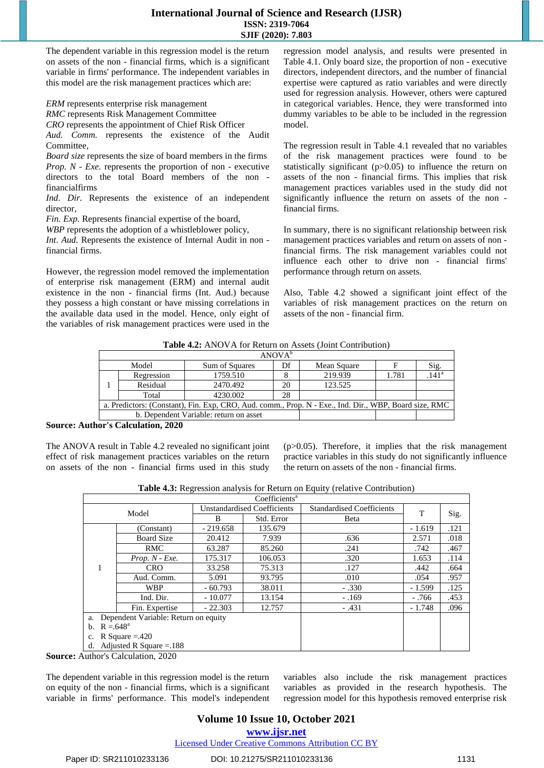The dependent variable in this regression model is the return on assets of the non - financial firms, which is a significant variable in firms' performance. The independent variables in this model are the risk management practices which are:

*ERM* represents enterprise risk management

*RMC* represents Risk Management Committee

*CRO* represents the appointment of Chief Risk Officer

*Aud. Comm.* represents the existence of the Audit Committee,

*Board size* represents the size of board members in the firms *Prop. N - Exe.* represents the proportion of non - executive directors to the total Board members of the non financialfirms

Ind. Dir. Represents the existence of an independent director

*Fin. Exp.* Represents financial expertise of the board,

*WBP* represents the adoption of a whistleblower policy,

*Int. Aud.* Represents the existence of Internal Audit in non financial firms.

However, the regression model removed the implementation of enterprise risk management (ERM) and internal audit existence in the non - financial firms (Int. Aud.) because they possess a high constant or have missing correlations in the available data used in the model. Hence, only eight of the variables of risk management practices were used in the regression model analysis, and results were presented in Table 4.1. Only board size, the proportion of non - executive directors, independent directors, and the number of financial expertise were captured as ratio variables and were directly used for regression analysis. However, others were captured in categorical variables. Hence, they were transformed into dummy variables to be able to be included in the regression model.

The regression result in Table 4.1 revealed that no variables of the risk management practices were found to be statistically significant (p>0.05) to influence the return on assets of the non - financial firms. This implies that risk management practices variables used in the study did not significantly influence the return on assets of the non financial firms.

In summary, there is no significant relationship between risk management practices variables and return on assets of non financial firms. The risk management variables could not influence each other to drive non - financial firms' performance through return on assets.

Also, Table 4.2 showed a significant joint effect of the variables of risk management practices on the return on assets of the non - financial firm.

**Table 4.2:** ANOVA for Return on Assets (Joint Contribution)

| ANOVA <sup>b</sup>                                                                                    |            |                |    |             |       |                     |  |
|-------------------------------------------------------------------------------------------------------|------------|----------------|----|-------------|-------|---------------------|--|
|                                                                                                       | Model      | Sum of Squares | Df | Mean Square |       | Sig.                |  |
|                                                                                                       | Regression | 1759.510       |    | 219.939     | 1.781 | $.141$ <sup>a</sup> |  |
|                                                                                                       | Residual   | 2470.492       | 20 | 123.525     |       |                     |  |
|                                                                                                       | Total      | 4230.002       | 28 |             |       |                     |  |
| a. Predictors: (Constant), Fin. Exp, CRO, Aud. comm., Prop. N - Exe., Ind. Dir., WBP, Board size, RMC |            |                |    |             |       |                     |  |
| b. Dependent Variable: return on asset                                                                |            |                |    |             |       |                     |  |

**Source: Author's Calculation, 2020**

The ANOVA result in Table 4.2 revealed no significant joint effect of risk management practices variables on the return on assets of the non - financial firms used in this study (p>0.05). Therefore, it implies that the risk management practice variables in this study do not significantly influence the return on assets of the non - financial firms.

**Table 4.3:** Regression analysis for Return on Equity (relative Contribution)

| Coefficients <sup>a</sup>                  |                            |            |                                    |                                  |          |      |
|--------------------------------------------|----------------------------|------------|------------------------------------|----------------------------------|----------|------|
|                                            | Model                      |            | <b>Unstandardised Coefficients</b> | <b>Standardised Coefficients</b> | т        |      |
|                                            |                            | B          | Std. Error                         | Beta                             |          | Sig. |
|                                            | (Constant)                 | $-219.658$ | 135.679                            |                                  | $-1.619$ | .121 |
|                                            | <b>Board Size</b>          | 20.412     | 7.939                              | .636                             | 2.571    | .018 |
|                                            | <b>RMC</b>                 | 63.287     | 85.260                             | .241                             | .742     | .467 |
|                                            | $Prop. N$ - $Exe.$         | 175.317    | 106.053                            | .320                             | 1.653    | .114 |
|                                            | <b>CRO</b>                 | 33.258     | 75.313                             | .127                             | .442     | .664 |
|                                            | Aud. Comm.                 | 5.091      | 93.795                             | .010                             | .054     | .957 |
|                                            | <b>WBP</b>                 | $-60.793$  | 38.011                             | $-.330$                          | $-1.599$ | .125 |
|                                            | Ind. Dir.                  | $-10.077$  | 13.154                             | $-.169$                          | - .766   | .453 |
|                                            | Fin. Expertise             | $-22.303$  | 12.757                             | $-.431$                          | $-1.748$ | .096 |
| Dependent Variable: Return on equity<br>a. |                            |            |                                    |                                  |          |      |
| $R = 648^{\circ}$<br>b.                    |                            |            |                                    |                                  |          |      |
| R Square $=.420$                           |                            |            |                                    |                                  |          |      |
| d.                                         | Adjusted R Square = $.188$ |            |                                    |                                  |          |      |

**Source:** Author's Calculation, 2020

The dependent variable in this regression model is the return on equity of the non - financial firms, which is a significant variable in firms' performance. This model's independent variables also include the risk management practices variables as provided in the research hypothesis. The regression model for this hypothesis removed enterprise risk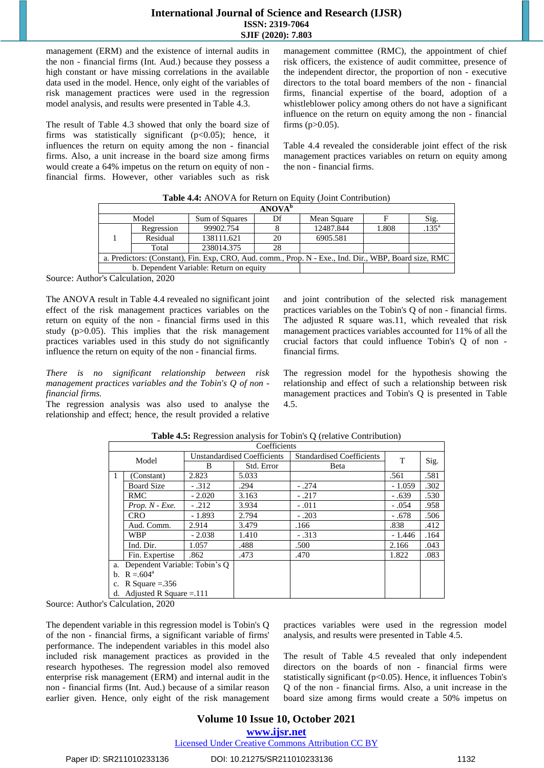management (ERM) and the existence of internal audits in the non - financial firms (Int. Aud.) because they possess a high constant or have missing correlations in the available data used in the model. Hence, only eight of the variables of risk management practices were used in the regression model analysis, and results were presented in Table 4.3.

The result of Table 4.3 showed that only the board size of firms was statistically significant  $(p<0.05)$ ; hence, it influences the return on equity among the non - financial firms. Also, a unit increase in the board size among firms would create a 64% impetus on the return on equity of non financial firms. However, other variables such as risk

management committee (RMC), the appointment of chief risk officers, the existence of audit committee, presence of the independent director, the proportion of non - executive directors to the total board members of the non - financial firms, financial expertise of the board, adoption of a whistleblower policy among others do not have a significant influence on the return on equity among the non - financial firms  $(p>0.05)$ .

Table 4.4 revealed the considerable joint effect of the risk management practices variables on return on equity among the non - financial firms.

|                                                                                                       | <b>ANOVA</b> <sup>b</sup> |                |    |             |       |            |  |
|-------------------------------------------------------------------------------------------------------|---------------------------|----------------|----|-------------|-------|------------|--|
| Model                                                                                                 |                           | Sum of Squares | Df | Mean Square |       | Sig.       |  |
|                                                                                                       | Regression                | 99902.754      |    | 12487.844   | 1.808 | $.135^{a}$ |  |
|                                                                                                       | Residual                  | 138111.621     | 20 | 6905.581    |       |            |  |
|                                                                                                       | Total                     | 238014.375     | 28 |             |       |            |  |
| a. Predictors: (Constant), Fin. Exp, CRO, Aud. comm., Prop. N - Exe., Ind. Dir., WBP, Board size, RMC |                           |                |    |             |       |            |  |
| b. Dependent Variable: Return on equity                                                               |                           |                |    |             |       |            |  |

**Table 4.4:** ANOVA for Return on Equity (Joint Contribution)

Source: Author's Calculation, 2020

The ANOVA result in Table 4.4 revealed no significant joint effect of the risk management practices variables on the return on equity of the non - financial firms used in this study (p>0.05). This implies that the risk management practices variables used in this study do not significantly influence the return on equity of the non - financial firms.

*There is no significant relationship between risk management practices variables and the Tobin's Q of non financial firms.* 

The regression analysis was also used to analyse the relationship and effect; hence, the result provided a relative and joint contribution of the selected risk management practices variables on the Tobin's Q of non - financial firms. The adjusted R square was.11, which revealed that risk management practices variables accounted for 11% of all the crucial factors that could influence Tobin's Q of non financial firms.

The regression model for the hypothesis showing the relationship and effect of such a relationship between risk management practices and Tobin's Q is presented in Table 4.5.

|                                     |                               |          | Coefficients                       |                                  |          |      |
|-------------------------------------|-------------------------------|----------|------------------------------------|----------------------------------|----------|------|
|                                     | Model                         |          | <b>Unstandardised Coefficients</b> | <b>Standardised Coefficients</b> | т        |      |
|                                     |                               | B        | Std. Error                         | Beta                             |          | Sig. |
|                                     | (Constant)                    | 2.823    | 5.033                              |                                  | .561     | .581 |
|                                     | <b>Board Size</b>             | $-.312$  | .294                               | $-.274$                          | $-1.059$ | .302 |
|                                     | <b>RMC</b>                    | $-2.020$ | 3.163                              | $-.217$                          | $-.639$  | .530 |
|                                     | $Prop. N$ - $Exe.$            | $-.212$  | 3.934                              | $-.011$                          | $-.054$  | .958 |
|                                     | <b>CRO</b>                    | $-1.893$ | 2.794                              | $-.203$                          | $-.678$  | .506 |
|                                     | Aud. Comm.                    | 2.914    | 3.479                              | .166                             | .838     | .412 |
|                                     | <b>WBP</b>                    | $-2.038$ | 1.410                              | $-.313$                          | - 1.446  | .164 |
|                                     | Ind. Dir.                     | 1.057    | .488                               | .500                             | 2.166    | .043 |
|                                     | Fin. Expertise                | .862     | .473                               | .470                             | 1.822    | .083 |
| Dependent Variable: Tobin's Q<br>a. |                               |          |                                    |                                  |          |      |
|                                     | b. $R = 604^a$                |          |                                    |                                  |          |      |
| R Square = $.356$<br>c.             |                               |          |                                    |                                  |          |      |
|                                     | d. Adjusted R Square = $.111$ |          |                                    |                                  |          |      |

| <b>Table 4.5:</b> Regression analysis for Tobin's Q (relative Contribution) |
|-----------------------------------------------------------------------------|
|-----------------------------------------------------------------------------|

Source: Author's Calculation, 2020

The dependent variable in this regression model is Tobin's Q of the non - financial firms, a significant variable of firms' performance. The independent variables in this model also included risk management practices as provided in the research hypotheses. The regression model also removed enterprise risk management (ERM) and internal audit in the non - financial firms (Int. Aud.) because of a similar reason earlier given. Hence, only eight of the risk management practices variables were used in the regression model analysis, and results were presented in Table 4.5.

The result of Table 4.5 revealed that only independent directors on the boards of non - financial firms were statistically significant (p<0.05). Hence, it influences Tobin's Q of the non - financial firms. Also, a unit increase in the board size among firms would create a 50% impetus on

# **Volume 10 Issue 10, October 2021**

**<www.ijsr.net>**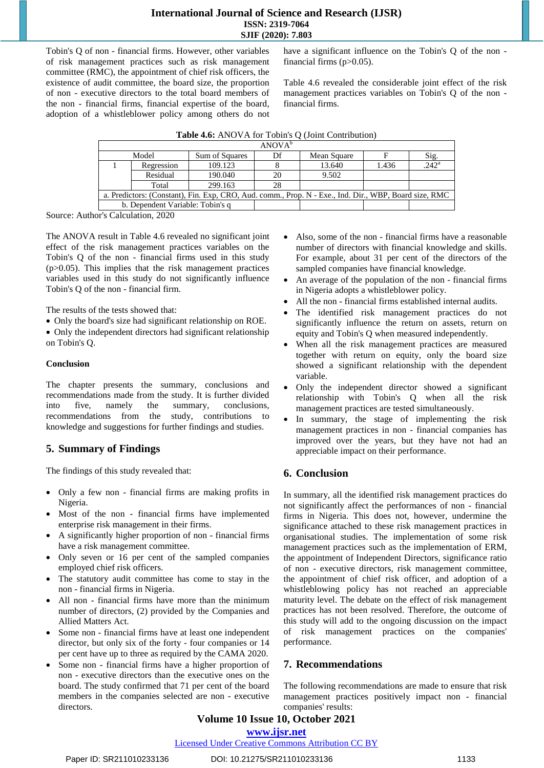Tobin's Q of non - financial firms. However, other variables of risk management practices such as risk management committee (RMC), the appointment of chief risk officers, the existence of audit committee, the board size, the proportion of non - executive directors to the total board members of the non - financial firms, financial expertise of the board, adoption of a whistleblower policy among others do not have a significant influence on the Tobin's Q of the non financial firms  $(p>0.05)$ .

Table 4.6 revealed the considerable joint effect of the risk management practices variables on Tobin's Q of the non financial firms.

| Table 4.6: ANOVA for Tobin's Q (Joint Contribution) |                                                                                                       |                |                    |             |       |                   |  |
|-----------------------------------------------------|-------------------------------------------------------------------------------------------------------|----------------|--------------------|-------------|-------|-------------------|--|
|                                                     |                                                                                                       |                | ANOVA <sup>b</sup> |             |       |                   |  |
|                                                     | Model                                                                                                 | Sum of Squares | Df                 | Mean Square | F     | Sig.              |  |
|                                                     | Regression                                                                                            | 109.123        |                    | 13.640      | 1.436 | .242 <sup>a</sup> |  |
|                                                     | Residual                                                                                              | 190.040        | 20                 | 9.502       |       |                   |  |
|                                                     | Total                                                                                                 | 299.163        | 28                 |             |       |                   |  |
|                                                     | a. Predictors: (Constant), Fin. Exp, CRO, Aud. comm., Prop. N - Exe., Ind. Dir., WBP, Board size, RMC |                |                    |             |       |                   |  |
|                                                     | b. Dependent Variable: Tobin's q                                                                      |                |                    |             |       |                   |  |

Source: Author's Calculation, 2020

The ANOVA result in Table 4.6 revealed no significant joint effect of the risk management practices variables on the Tobin's Q of the non - financial firms used in this study  $(p>0.05)$ . This implies that the risk management practices variables used in this study do not significantly influence Tobin's Q of the non - financial firm.

The results of the tests showed that:

- Only the board's size had significant relationship on ROE.
- Only the independent directors had significant relationship on Tobin's Q.

#### **Conclusion**

The chapter presents the summary, conclusions and recommendations made from the study. It is further divided into five, namely the summary, conclusions, recommendations from the study, contributions to knowledge and suggestions for further findings and studies.

# **5. Summary of Findings**

The findings of this study revealed that:

- Only a few non financial firms are making profits in Nigeria.
- Most of the non financial firms have implemented enterprise risk management in their firms.
- A significantly higher proportion of non financial firms have a risk management committee.
- Only seven or 16 per cent of the sampled companies employed chief risk officers.
- The statutory audit committee has come to stay in the non - financial firms in Nigeria.
- All non financial firms have more than the minimum number of directors, (2) provided by the Companies and Allied Matters Act.
- Some non financial firms have at least one independent director, but only six of the forty - four companies or 14 per cent have up to three as required by the CAMA 2020.
- Some non financial firms have a higher proportion of non - executive directors than the executive ones on the board. The study confirmed that 71 per cent of the board members in the companies selected are non - executive directors.
- Also, some of the non financial firms have a reasonable number of directors with financial knowledge and skills. For example, about 31 per cent of the directors of the sampled companies have financial knowledge.
- An average of the population of the non financial firms in Nigeria adopts a whistleblower policy.
- All the non financial firms established internal audits.
- The identified risk management practices do not significantly influence the return on assets, return on equity and Tobin's Q when measured independently.
- When all the risk management practices are measured together with return on equity, only the board size showed a significant relationship with the dependent variable.
- Only the independent director showed a significant relationship with Tobin's Q when all the risk management practices are tested simultaneously.
- In summary, the stage of implementing the risk management practices in non - financial companies has improved over the years, but they have not had an appreciable impact on their performance.

# **6. Conclusion**

In summary, all the identified risk management practices do not significantly affect the performances of non - financial firms in Nigeria. This does not, however, undermine the significance attached to these risk management practices in organisational studies. The implementation of some risk management practices such as the implementation of ERM, the appointment of Independent Directors, significance ratio of non - executive directors, risk management committee, the appointment of chief risk officer, and adoption of a whistleblowing policy has not reached an appreciable maturity level. The debate on the effect of risk management practices has not been resolved. Therefore, the outcome of this study will add to the ongoing discussion on the impact of risk management practices on the companies' performance.

# **7. Recommendations**

The following recommendations are made to ensure that risk management practices positively impact non - financial companies' results:

# **Volume 10 Issue 10, October 2021**

**<www.ijsr.net>**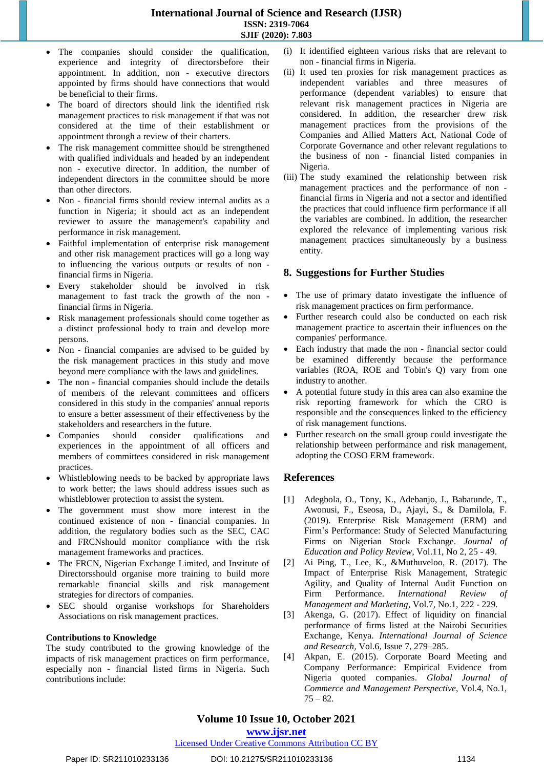- The companies should consider the qualification, experience and integrity of directorsbefore their appointment. In addition, non - executive directors appointed by firms should have connections that would be beneficial to their firms.
- The board of directors should link the identified risk management practices to risk management if that was not considered at the time of their establishment or appointment through a review of their charters.
- The risk management committee should be strengthened with qualified individuals and headed by an independent non - executive director. In addition, the number of independent directors in the committee should be more than other directors.
- Non financial firms should review internal audits as a function in Nigeria; it should act as an independent reviewer to assure the management's capability and performance in risk management.
- Faithful implementation of enterprise risk management and other risk management practices will go a long way to influencing the various outputs or results of non financial firms in Nigeria.
- Every stakeholder should be involved in risk management to fast track the growth of the non financial firms in Nigeria.
- Risk management professionals should come together as a distinct professional body to train and develop more persons.
- Non financial companies are advised to be guided by the risk management practices in this study and move beyond mere compliance with the laws and guidelines.
- The non financial companies should include the details of members of the relevant committees and officers considered in this study in the companies' annual reports to ensure a better assessment of their effectiveness by the stakeholders and researchers in the future.
- Companies should consider qualifications and experiences in the appointment of all officers and members of committees considered in risk management practices.
- Whistleblowing needs to be backed by appropriate laws to work better; the laws should address issues such as whistleblower protection to assist the system.
- The government must show more interest in the continued existence of non - financial companies. In addition, the regulatory bodies such as the SEC, CAC and FRCNshould monitor compliance with the risk management frameworks and practices.
- The FRCN, Nigerian Exchange Limited, and Institute of Directorsshould organise more training to build more remarkable financial skills and risk management strategies for directors of companies.
- SEC should organise workshops for Shareholders Associations on risk management practices.

#### **Contributions to Knowledge**

The study contributed to the growing knowledge of the impacts of risk management practices on firm performance, especially non - financial listed firms in Nigeria. Such contributions include:

- (i) It identified eighteen various risks that are relevant to non - financial firms in Nigeria.
- (ii) It used ten proxies for risk management practices as independent variables and three measures of performance (dependent variables) to ensure that relevant risk management practices in Nigeria are considered. In addition, the researcher drew risk management practices from the provisions of the Companies and Allied Matters Act, National Code of Corporate Governance and other relevant regulations to the business of non - financial listed companies in Nigeria.
- (iii) The study examined the relationship between risk management practices and the performance of non financial firms in Nigeria and not a sector and identified the practices that could influence firm performance if all the variables are combined. In addition, the researcher explored the relevance of implementing various risk management practices simultaneously by a business entity.

#### **8. Suggestions for Further Studies**

- The use of primary datato investigate the influence of risk management practices on firm performance.
- Further research could also be conducted on each risk management practice to ascertain their influences on the companies' performance.
- Each industry that made the non financial sector could be examined differently because the performance variables (ROA, ROE and Tobin's Q) vary from one industry to another.
- A potential future study in this area can also examine the risk reporting framework for which the CRO is responsible and the consequences linked to the efficiency of risk management functions.
- Further research on the small group could investigate the relationship between performance and risk management, adopting the COSO ERM framework.

# **References**

- [1] Adegbola, O., Tony, K., Adebanjo, J., Babatunde, T., Awonusi, F., Eseosa, D., Ajayi, S., & Damilola, F. (2019). Enterprise Risk Management (ERM) and Firm's Performance: Study of Selected Manufacturing Firms on Nigerian Stock Exchange. *Journal of Education and Policy Review*, Vol.11, No 2, 25 - 49.
- [2] Ai Ping, T., Lee, K., &Muthuveloo, R. (2017). The Impact of Enterprise Risk Management, Strategic Agility, and Quality of Internal Audit Function on Firm Performance. *International Review of Management and Marketing*, Vol.7, No.1, 222 - 229.
- [3] Akenga, G. (2017). Effect of liquidity on financial performance of firms listed at the Nairobi Securities Exchange, Kenya. *International Journal of Science and Research,* Vol.6, Issue 7, 279–285.
- [4] Akpan, E. (2015). Corporate Board Meeting and Company Performance: Empirical Evidence from Nigeria quoted companies. *Global Journal of Commerce and Management Perspective*, Vol.4, No.1,  $75 - 82.$

# **Volume 10 Issue 10, October 2021**

**<www.ijsr.net>**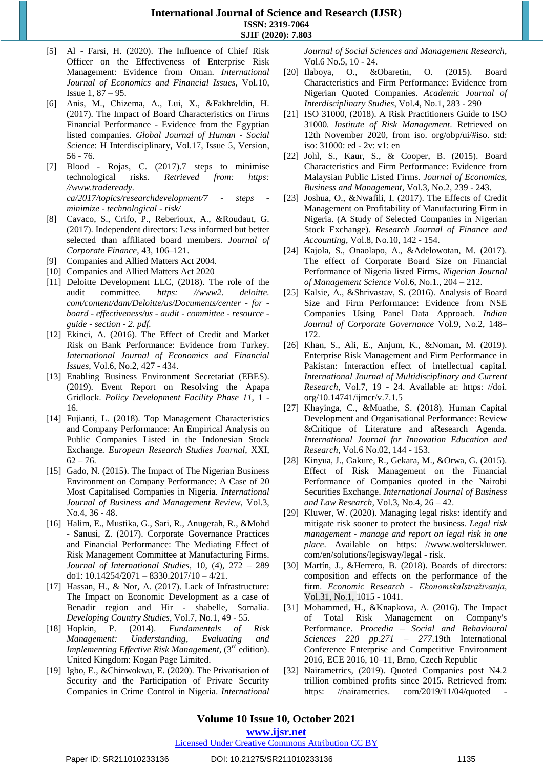- [5] Al Farsi, H. (2020). The Influence of Chief Risk Officer on the Effectiveness of Enterprise Risk Management: Evidence from Oman. *International Journal of Economics and Financial Issues*, Vol.10, Issue 1, 87 – 95.
- [6] Anis, M., Chizema, A., Lui, X., &Fakhreldin, H. (2017). The Impact of Board Characteristics on Firms Financial Performance - Evidence from the Egyptian listed companies. *Global Journal of Human - Social Science*: H Interdisciplinary, Vol.17, Issue 5, Version, 56 - 76.
- [7] Blood Rojas, C. (2017).7 steps to minimise technological risks. *Retrieved from: [https:](https://www.tradeready.ca/2017/topics/researchdevelopment/7-steps-minimize-technological-risk/)  [//www.tradeready.](https://www.tradeready.ca/2017/topics/researchdevelopment/7-steps-minimize-technological-risk/)  [ca/2017/topics/researchdevelopment/7](https://www.tradeready.ca/2017/topics/researchdevelopment/7-steps-minimize-technological-risk/) - steps minimize - [technological](https://www.tradeready.ca/2017/topics/researchdevelopment/7-steps-minimize-technological-risk/) - risk/*
- [8] Cavaco, S., Crifo, P., Reberioux, A., &Roudaut, G. (2017). Independent directors: Less informed but better selected than affiliated board members. *Journal of Corporate Finance*, 43, 106–121.
- [9] Companies and Allied Matters Act 2004.
- [10] Companies and Allied Matters Act 2020
- [11] Deloitte Development LLC, (2018). The role of the audit committee*. [https: //www2. deloitte.](https://www2.deloitte.com/content/dam/Deloitte/us/Documents/center-for-board-effectiveness/us-audit-committee-resource-guide-section-2.pdf)  [com/content/dam/Deloitte/us/Documents/center](https://www2.deloitte.com/content/dam/Deloitte/us/Documents/center-for-board-effectiveness/us-audit-committee-resource-guide-section-2.pdf) - for board - [effectiveness/us](https://www2.deloitte.com/content/dam/Deloitte/us/Documents/center-for-board-effectiveness/us-audit-committee-resource-guide-section-2.pdf) - audit - committee - resource guide - [section](https://www2.deloitte.com/content/dam/Deloitte/us/Documents/center-for-board-effectiveness/us-audit-committee-resource-guide-section-2.pdf) - 2. pdf.*
- [12] Ekinci, A. (2016). The Effect of Credit and Market Risk on Bank Performance: Evidence from Turkey. *International Journal of Economics and Financial Issues*, Vol.6, No.2, 427 - 434.
- [13] Enabling Business Environment Secretariat (EBES). (2019). Event Report on Resolving the Apapa Gridlock. *Policy Development Facility Phase 11*, 1 - 16.
- [14] Fujianti, L. (2018). Top Management Characteristics and Company Performance: An Empirical Analysis on Public Companies Listed in the Indonesian Stock Exchange*. European Research Studies Journal*, XXI,  $62 - 76.$
- [15] Gado, N. (2015). The Impact of The Nigerian Business Environment on Company Performance: A Case of 20 Most Capitalised Companies in Nigeria. *International Journal of Business and Management Review*, Vol.3, No.4, 36 - 48.
- [16] Halim, E., Mustika, G., Sari, R., Anugerah, R., &Mohd - Sanusi, Z. (2017). Corporate Governance Practices and Financial Performance: The Mediating Effect of Risk Management Committee at Manufacturing Firms. *Journal of International Studies*, 10, (4), 272 – 289 do1: 10.14254/2071 – 8330.2017/10 – 4/21.
- [17] Hassan, H., & Nor, A. (2017). Lack of Infrastructure: The Impact on Economic Development as a case of Benadir region and Hir - shabelle, Somalia. *Developing Country Studies*, Vol.7, No.1, 49 - 55.
- [18] Hopkin, P. (2014). *Fundamentals of Risk Management: Understanding, Evaluating and Implementing Effective Risk Management*, (3 rd edition). United Kingdom: Kogan Page Limited.
- [19] Igbo, E., &Chinwokwu, E. (2020). The Privatisation of Security and the Participation of Private Security Companies in Crime Control in Nigeria. *International*

*Journal of Social Sciences and Management Research,*  Vol.6 No.5, 10 - 24.

- [20] Ilaboya, O., &Obaretin, O. (2015). Board Characteristics and Firm Performance: Evidence from Nigerian Quoted Companies. *Academic Journal of Interdisciplinary Studies*, Vol.4, No.1, 283 - 290
- [21] ISO 31000, (2018). A Risk Practitioners Guide to ISO 31000*. Institute of Risk Management*. Retrieved on 12th November 2020, from iso. org/obp/ui/#iso. std: iso: 31000: ed - 2v: v1: en
- [22] Johl, S., Kaur, S., & Cooper, B. (2015). Board Characteristics and Firm Performance: Evidence from Malaysian Public Listed Firms. *Journal of Economics, Business and Management*, Vol.3, No.2, 239 - 243.
- [23] Joshua, O., &Nwafili, I. (2017). The Effects of Credit Management on Profitability of Manufacturing Firm in Nigeria. (A Study of Selected Companies in Nigerian Stock Exchange). *Research Journal of Finance and Accounting*, Vol.8, No.10, 142 - 154.
- [24] Kajola, S., Onaolapo, A., &Adelowotan, M. (2017). The effect of Corporate Board Size on Financial Performance of Nigeria listed Firms. *Nigerian Journal of Management Science* Vol.6, No.1., 204 – 212.
- [25] Kalsie, A., &Shrivastav, S. (2016). Analysis of Board Size and Firm Performance: Evidence from NSE Companies Using Panel Data Approach. *Indian Journal of Corporate Governance* Vol.9, No.2, 148– 172.
- [26] Khan, S., Ali, E., Anjum, K., &Noman, M. (2019). Enterprise Risk Management and Firm Performance in Pakistan: Interaction effect of intellectual capital*. International Journal of Multidisciplinary and Current Research*, Vol.7, 19 - 24. Available at: [https: //doi.](https://doi.org/10.14741/ijmcr/v.7.1.5)  [org/10.14741/ijmcr/v.7.1.5](https://doi.org/10.14741/ijmcr/v.7.1.5)
- [27] Khayinga, C., &Muathe, S. (2018). Human Capital Development and Organisational Performance: Review &Critique of Literature and aResearch Agenda*. International Journal for Innovation Education and Research*, Vol.6 No.02, 144 - 153.
- [28] Kinyua, J., Gakure, R., Gekara, M., &Orwa, G. (2015). Effect of Risk Management on the Financial Performance of Companies quoted in the Nairobi Securities Exchange. *International Journal of Business and Law Research,* Vol.3, No.4, 26 – 42.
- [29] Kluwer, W. (2020). Managing legal risks: identify and mitigate risk sooner to protect the business*. Legal risk management - manage and report on legal risk in one place*. Available on [https: //www.wolterskluwer.](https://www.wolterskluwer.com/en/solutions/legisway/legal-risk)  [com/en/solutions/legisway/legal](https://www.wolterskluwer.com/en/solutions/legisway/legal-risk) - risk.
- [30] [Martín,](https://www.tandfonline.com/author/Garc%C3%ADa+Mart%C3%ADn%2C+C+Jos%C3%A9) J., [&Herrero,](https://www.tandfonline.com/author/Herrero%2C+Bego%C3%B1a) B. (2018). Boards of directors: composition and effects on the performance of the firm. *Economic Research - [EkonomskaIstraživanja](https://www.tandfonline.com/toc/rero20/current)*, Vol.31, No.1, 1015 - 1041.
- [31] Mohammed, H., &Knapkova, A. (2016). The Impact of Total Risk Management on Company's Performance. *Procedia – Social and Behavioural Sciences 220 pp.271 – 277*.19th International Conference Enterprise and Competitive Environment 2016, ECE 2016, 10–11, Brno, Czech Republic
- [32] Nairametrics, (2019). Quoted Companies post N4.2 trillion combined profits since 2015. Retrieved from: https: //nairametrics. com/2019/11/04/quoted

**<www.ijsr.net>**